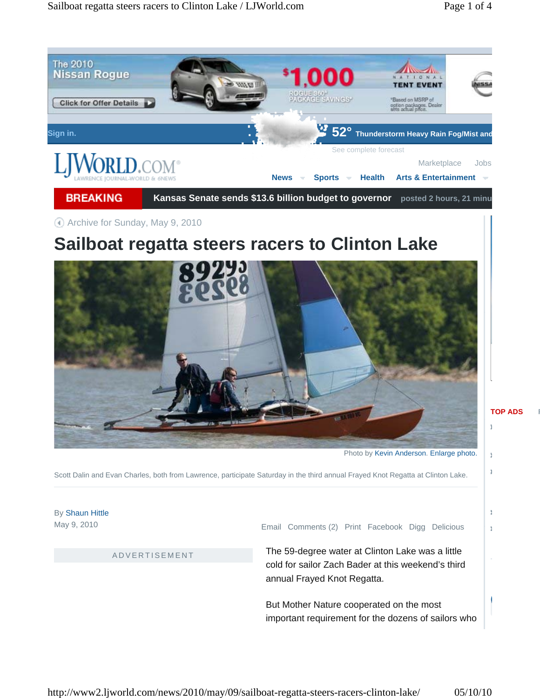

### Archive for Sunday, May 9, 2010

# **Sailboat regatta steers racers to Clinton Lake**



Photo by Kevin Anderson. Enlarge photo.

Ĵ

ă ğ,

Scott Dalin and Evan Charles, both from Lawrence, participate Saturday in the third annual Frayed Knot Regatta at Clinton Lake.

By Shaun Hittle May 9, 2010

ADVERTISEMENT

Email Comments (2) Print Facebook Digg Delicious

The 59-degree water at Clinton Lake was a little cold for sailor Zach Bader at this weekend's third annual Frayed Knot Regatta.

But Mother Nature cooperated on the most important requirement for the dozens of sailors who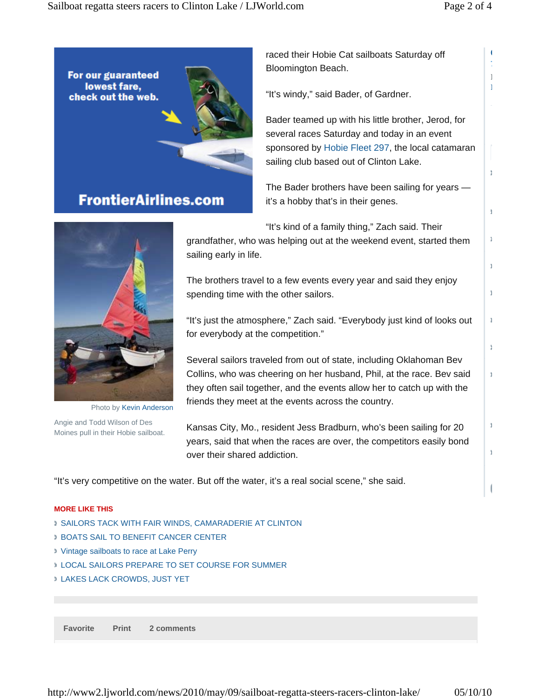**C 7** *F M*

Ĵ.

ğ.

 $\frac{1}{2}$ 

ă

Ĵ.

à

ğ.

 $\frac{1}{2}$ 

Ĵ.

ă



raced their Hobie Cat sailboats Saturday off Bloomington Beach.

"It's windy," said Bader, of Gardner.

Bader teamed up with his little brother, Jerod, for several races Saturday and today in an event sponsored by Hobie Fleet 297, the local catamaran sailing club based out of Clinton Lake.

The Bader brothers have been sailing for years it's a hobby that's in their genes.



Photo by Kevin Anderson

Angie and Todd Wilson of Des Moines pull in their Hobie sailboat. "It's kind of a family thing," Zach said. Their

grandfather, who was helping out at the weekend event, started them sailing early in life.

The brothers travel to a few events every year and said they enjoy spending time with the other sailors.

"It's just the atmosphere," Zach said. "Everybody just kind of looks out for everybody at the competition."

Several sailors traveled from out of state, including Oklahoman Bev Collins, who was cheering on her husband, Phil, at the race. Bev said they often sail together, and the events allow her to catch up with the friends they meet at the events across the country.

Kansas City, Mo., resident Jess Bradburn, who's been sailing for 20 years, said that when the races are over, the competitors easily bond over their shared addiction.

"It's very competitive on the water. But off the water, it's a real social scene," she said.

#### **MORE LIKE THIS**

- SAILORS TACK WITH FAIR WINDS, CAMARADERIE AT CLINTON
- BOATS SAIL TO BENEFIT CANCER CENTER
- Vintage sailboats to race at Lake Perry
- LOCAL SAILORS PREPARE TO SET COURSE FOR SUMMER
- LAKES LACK CROWDS, JUST YET

**Favorite Print 2 comments**

http://www2.ljworld.com/news/2010/may/09/sailboat-regatta-steers-racers-clinton-lake/ 05/10/10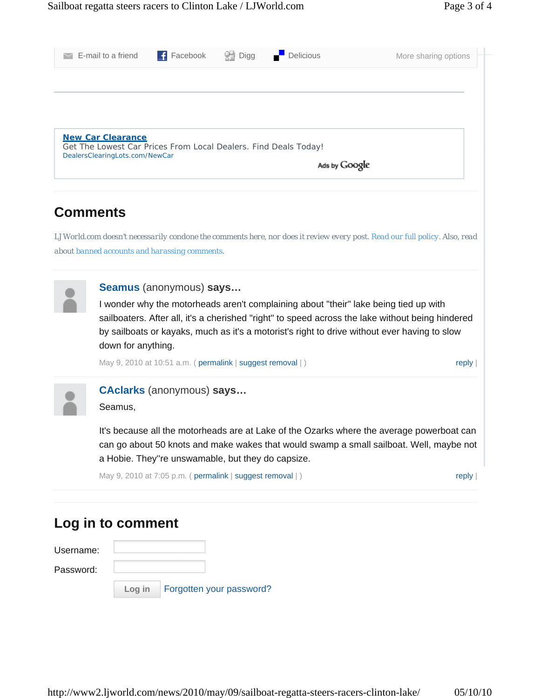|                                                                                             | E-mail to a friend                              | $\blacksquare$ Facebook                       | H Digg | Delicious | More sharing options                                                                                                       |  |  |
|---------------------------------------------------------------------------------------------|-------------------------------------------------|-----------------------------------------------|--------|-----------|----------------------------------------------------------------------------------------------------------------------------|--|--|
|                                                                                             |                                                 |                                               |        |           |                                                                                                                            |  |  |
|                                                                                             |                                                 |                                               |        |           |                                                                                                                            |  |  |
|                                                                                             |                                                 |                                               |        |           |                                                                                                                            |  |  |
| <b>New Car Clearance</b><br>Get The Lowest Car Prices From Local Dealers. Find Deals Today! |                                                 |                                               |        |           |                                                                                                                            |  |  |
|                                                                                             | DealersClearingLots.com/NewCar<br>Ads by Google |                                               |        |           |                                                                                                                            |  |  |
|                                                                                             |                                                 |                                               |        |           |                                                                                                                            |  |  |
|                                                                                             | <b>Comments</b>                                 |                                               |        |           |                                                                                                                            |  |  |
|                                                                                             |                                                 |                                               |        |           |                                                                                                                            |  |  |
|                                                                                             |                                                 |                                               |        |           | LJWorld.com doesn't necessarily condone the comments here, nor does it review every post. Read our full policy. Also, read |  |  |
|                                                                                             |                                                 | about banned accounts and harassing comments. |        |           |                                                                                                                            |  |  |
|                                                                                             |                                                 |                                               |        |           |                                                                                                                            |  |  |
|                                                                                             |                                                 | Seamus (anonymous) says                       |        |           |                                                                                                                            |  |  |
|                                                                                             |                                                 |                                               |        |           | I wonder why the motorheads aren't complaining about "their" lake being tied up with                                       |  |  |
|                                                                                             |                                                 |                                               |        |           | sailboaters. After all, it's a cherished "right" to speed across the lake without being hindered                           |  |  |
|                                                                                             |                                                 |                                               |        |           | by sailboats or kayaks, much as it's a motorist's right to drive without ever having to slow                               |  |  |
|                                                                                             | down for anything.                              |                                               |        |           |                                                                                                                            |  |  |

May 9, 2010 at 10:51 a.m. ( permalink | suggest removal | ) reply reply



#### **CAclarks** (anonymous) **says…**

Seamus,

It's because all the motorheads are at Lake of the Ozarks where the average powerboat can can go about 50 knots and make wakes that would swamp a small sailboat. Well, maybe not a Hobie. They''re unswamable, but they do capsize.

May 9, 2010 at 7:05 p.m. ( permalink | suggest removal | ) reply | reply |

## **Log in to comment**

| Username: |        |                          |
|-----------|--------|--------------------------|
| Password: |        |                          |
|           | Log in | Forgotten your password? |